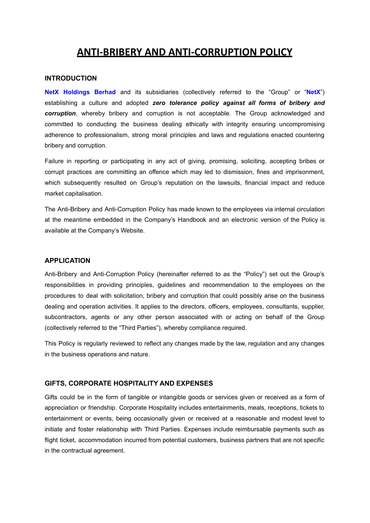# **ANTI-BRIBERY AND ANTI-CORRUPTION POLICY**

## **INTRODUCTION**

**NetX Holdings Berhad** and its subsidiaries (collectively referred to the "Group" or "**NetX**") establishing a culture and adopted *zero tolerance policy against all forms of bribery and corruption*, whereby bribery and corruption is not acceptable*.* The Group acknowledged and committed to conducting the business dealing ethically with integrity ensuring uncompromising adherence to professionalism, strong moral principles and laws and regulations enacted countering bribery and corruption.

Failure in reporting or participating in any act of giving, promising, soliciting, accepting bribes or corrupt practices are committing an offence which may led to dismission, fines and imprisonment, which subsequently resulted on Group's reputation on the lawsuits, financial impact and reduce market capitalisation.

The Anti-Bribery and Anti-Corruption Policy has made known to the employees via internal circulation at the meantime embedded in the Company's Handbook and an electronic version of the Policy is available at the Company's Website.

### **APPLICATION**

Anti-Bribery and Anti-Corruption Policy (hereinafter referred to as the "Policy") set out the Group's responsibilities in providing principles, guidelines and recommendation to the employees on the procedures to deal with solicitation, bribery and corruption that could possibly arise on the business dealing and operation activities. It applies to the directors, officers, employees, consultants, supplier, subcontractors, agents or any other person associated with or acting on behalf of the Group (collectively referred to the "Third Parties"), whereby compliance required.

This Policy is regularly reviewed to reflect any changes made by the law, regulation and any changes in the business operations and nature.

# **GIFTS, CORPORATE HOSPITALITY AND EXPENSES**

Gifts could be in the form of tangible or intangible goods or services given or received as a form of appreciation or friendship. Corporate Hospitality includes entertainments, meals, receptions, tickets to entertainment or events, being occasionally given or received at a reasonable and modest level to initiate and foster relationship with Third Parties. Expenses include reimbursable payments such as flight ticket, accommodation incurred from potential customers, business partners that are not specific in the contractual agreement.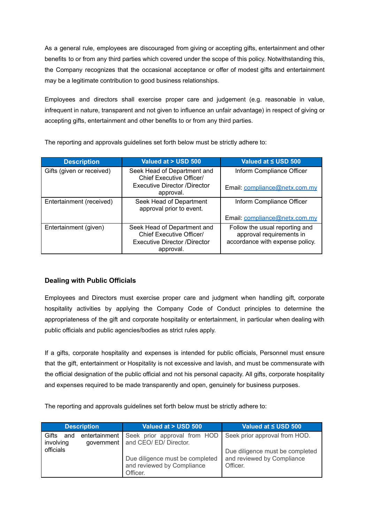As a general rule, employees are discouraged from giving or accepting gifts, entertainment and other benefits to or from any third parties which covered under the scope of this policy. Notwithstanding this, the Company recognizes that the occasional acceptance or offer of modest gifts and entertainment may be a legitimate contribution to good business relationships.

Employees and directors shall exercise proper care and judgement (e.g. reasonable in value, infrequent in nature, transparent and not given to influence an unfair advantage) in respect of giving or accepting gifts, entertainment and other benefits to or from any third parties.

| <b>Description</b>        | Valued at > USD 500                                                                                  | Valued at < USD 500                                                                           |
|---------------------------|------------------------------------------------------------------------------------------------------|-----------------------------------------------------------------------------------------------|
| Gifts (given or received) | Seek Head of Department and<br>Chief Executive Officer/                                              | Inform Compliance Officer                                                                     |
|                           | <b>Executive Director /Director</b><br>approval.                                                     | Email: compliance@netx.com.my                                                                 |
| Entertainment (received)  | Seek Head of Department<br>approval prior to event.                                                  | Inform Compliance Officer                                                                     |
|                           |                                                                                                      | Email: compliance@netx.com.mv                                                                 |
| Entertainment (given)     | Seek Head of Department and<br>Chief Executive Officer/<br>Executive Director /Director<br>approval. | Follow the usual reporting and<br>approval requirements in<br>accordance with expense policy. |

The reporting and approvals guidelines set forth below must be strictly adhere to:

# **Dealing with Public Officials**

Employees and Directors must exercise proper care and judgment when handling gift, corporate hospitality activities by applying the Company Code of Conduct principles to determine the appropriateness of the gift and corporate hospitality or entertainment, in particular when dealing with public officials and public agencies/bodies as strict rules apply.

If a gifts, corporate hospitality and expenses is intended for public officials, Personnel must ensure that the gift, entertainment or Hospitality is not excessive and lavish, and must be commensurate with the official designation of the public official and not his personal capacity. All gifts, corporate hospitality and expenses required to be made transparently and open, genuinely for business purposes.

The reporting and approvals guidelines set forth below must be strictly adhere to:

|                           | <b>Description</b>            | Valued at > USD 500                                                       | Valued at ≤ USD 500                                                       |
|---------------------------|-------------------------------|---------------------------------------------------------------------------|---------------------------------------------------------------------------|
| Gifts<br>and<br>involving | entertainment  <br>government | Seek prior approval from HOD<br>and CEO/ ED/ Director.                    | Seek prior approval from HOD.                                             |
| officials                 |                               | Due diligence must be completed<br>and reviewed by Compliance<br>Officer. | Due diligence must be completed<br>and reviewed by Compliance<br>Officer. |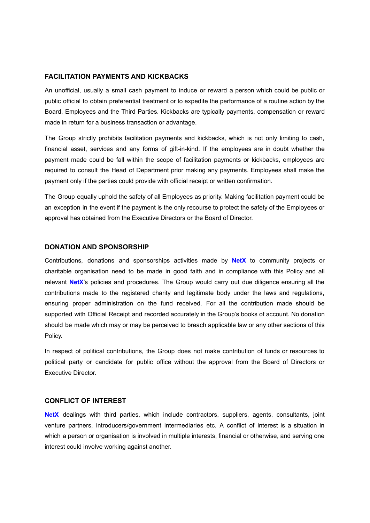#### **FACILITATION PAYMENTS AND KICKBACKS**

An unofficial, usually a small cash payment to induce or reward a person which could be public or public official to obtain preferential treatment or to expedite the performance of a routine action by the Board, Employees and the Third Parties. Kickbacks are typically payments, compensation or reward made in return for a business transaction or advantage.

The Group strictly prohibits facilitation payments and kickbacks, which is not only limiting to cash, financial asset, services and any forms of gift-in-kind. If the employees are in doubt whether the payment made could be fall within the scope of facilitation payments or kickbacks, employees are required to consult the Head of Department prior making any payments. Employees shall make the payment only if the parties could provide with official receipt or written confirmation.

The Group equally uphold the safety of all Employees as priority. Making facilitation payment could be an exception in the event if the payment is the only recourse to protect the safety of the Employees or approval has obtained from the Executive Directors or the Board of Director.

#### **DONATION AND SPONSORSHIP**

Contributions, donations and sponsorships activities made by **NetX** to community projects or charitable organisation need to be made in good faith and in compliance with this Policy and all relevant **NetX**'s policies and procedures. The Group would carry out due diligence ensuring all the contributions made to the registered charity and legitimate body under the laws and regulations, ensuring proper administration on the fund received. For all the contribution made should be supported with Official Receipt and recorded accurately in the Group's books of account. No donation should be made which may or may be perceived to breach applicable law or any other sections of this Policy.

In respect of political contributions, the Group does not make contribution of funds or resources to political party or candidate for public office without the approval from the Board of Directors or Executive Director.

#### **CONFLICT OF INTEREST**

**NetX** dealings with third parties, which include contractors, suppliers, agents, consultants, joint venture partners, introducers/government intermediaries etc. A conflict of interest is a situation in which a person or organisation is involved in multiple interests, financial or otherwise, and serving one interest could involve working against another.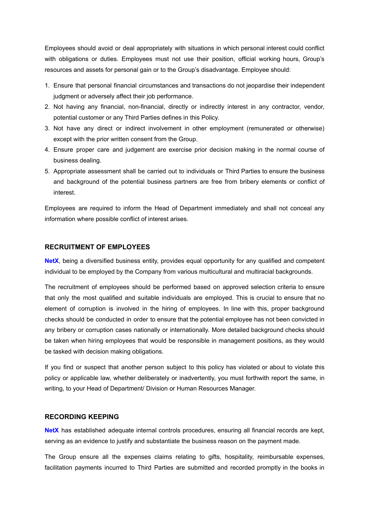Employees should avoid or deal appropriately with situations in which personal interest could conflict with obligations or duties. Employees must not use their position, official working hours, Group's resources and assets for personal gain or to the Group's disadvantage. Employee should:

- 1. Ensure that personal financial circumstances and transactions do not jeopardise their independent judgment or adversely affect their job performance.
- 2. Not having any financial, non-financial, directly or indirectly interest in any contractor, vendor, potential customer or any Third Parties defines in this Policy.
- 3. Not have any direct or indirect involvement in other employment (remunerated or otherwise) except with the prior written consent from the Group.
- 4. Ensure proper care and judgement are exercise prior decision making in the normal course of business dealing.
- 5. Appropriate assessment shall be carried out to individuals or Third Parties to ensure the business and background of the potential business partners are free from bribery elements or conflict of interest.

Employees are required to inform the Head of Department immediately and shall not conceal any information where possible conflict of interest arises.

#### **RECRUITMENT OF EMPLOYEES**

**NetX**, being a diversified business entity, provides equal opportunity for any qualified and competent individual to be employed by the Company from various multicultural and multiracial backgrounds.

The recruitment of employees should be performed based on approved selection criteria to ensure that only the most qualified and suitable individuals are employed. This is crucial to ensure that no element of corruption is involved in the hiring of employees. In line with this, proper background checks should be conducted in order to ensure that the potential employee has not been convicted in any bribery or corruption cases nationally or internationally. More detailed background checks should be taken when hiring employees that would be responsible in management positions, as they would be tasked with decision making obligations.

If you find or suspect that another person subject to this policy has violated or about to violate this policy or applicable law, whether deliberately or inadvertently, you must forthwith report the same, in writing, to your Head of Department/ Division or Human Resources Manager.

#### **RECORDING KEEPING**

**NetX** has established adequate internal controls procedures, ensuring all financial records are kept, serving as an evidence to justify and substantiate the business reason on the payment made.

The Group ensure all the expenses claims relating to gifts, hospitality, reimbursable expenses, facilitation payments incurred to Third Parties are submitted and recorded promptly in the books in